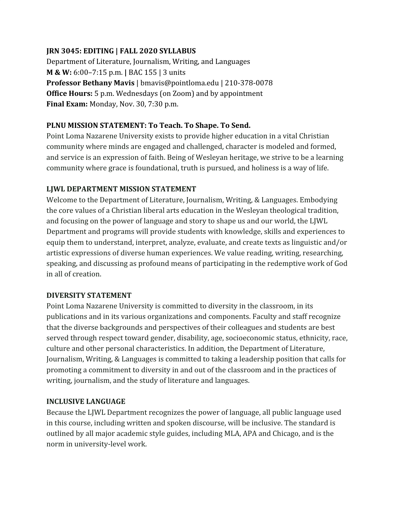### **JRN 3045: EDITING | FALL 2020 SYLLABUS**

Department of Literature, Journalism, Writing, and Languages **M & W:** 6:00–7:15 p.m. **|** BAC 155 | 3 units **Professor Bethany Mavis** | bmavis@pointloma.edu | 210-378-0078 **Office Hours:** 5 p.m. Wednesdays (on Zoom) and by appointment **Final Exam:** Monday, Nov. 30, 7:30 p.m.

### **PLNU MISSION STATEMENT: To Teach. To Shape. To Send.**

Point Loma Nazarene University exists to provide higher education in a vital Christian community where minds are engaged and challenged, character is modeled and formed, and service is an expression of faith. Being of Wesleyan heritage, we strive to be a learning community where grace is foundational, truth is pursued, and holiness is a way of life.

### **LJWL DEPARTMENT MISSION STATEMENT**

Welcome to the Department of Literature, Journalism, Writing, & Languages. Embodying the core values of a Christian liberal arts education in the Wesleyan theological tradition, and focusing on the power of language and story to shape us and our world, the LJWL Department and programs will provide students with knowledge, skills and experiences to equip them to understand, interpret, analyze, evaluate, and create texts as linguistic and/or artistic expressions of diverse human experiences. We value reading, writing, researching, speaking, and discussing as profound means of participating in the redemptive work of God in all of creation.

### **DIVERSITY STATEMENT**

Point Loma Nazarene University is committed to diversity in the classroom, in its publications and in its various organizations and components. Faculty and staff recognize that the diverse backgrounds and perspectives of their colleagues and students are best served through respect toward gender, disability, age, socioeconomic status, ethnicity, race, culture and other personal characteristics. In addition, the Department of Literature, Journalism, Writing, & Languages is committed to taking a leadership position that calls for promoting a commitment to diversity in and out of the classroom and in the practices of writing, journalism, and the study of literature and languages.

### **INCLUSIVE LANGUAGE**

Because the LJWL Department recognizes the power of language, all public language used in this course, including written and spoken discourse, will be inclusive. The standard is outlined by all major academic style guides, including MLA, APA and Chicago, and is the norm in university-level work.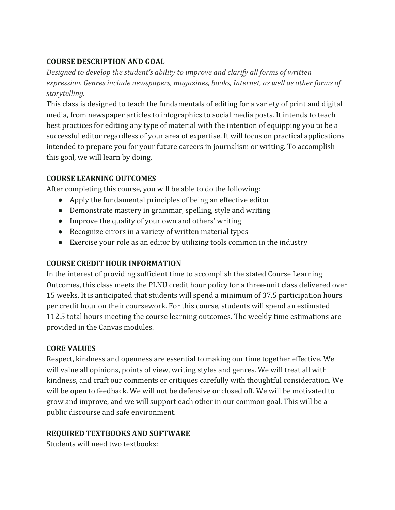### **COURSE DESCRIPTION AND GOAL**

*Designed to develop the student's ability to improve and clarify all forms of written expression. Genres include newspapers, magazines, books, Internet, as well as other forms of storytelling.*

This class is designed to teach the fundamentals of editing for a variety of print and digital media, from newspaper articles to infographics to social media posts. It intends to teach best practices for editing any type of material with the intention of equipping you to be a successful editor regardless of your area of expertise. It will focus on practical applications intended to prepare you for your future careers in journalism or writing. To accomplish this goal, we will learn by doing.

# **COURSE LEARNING OUTCOMES**

After completing this course, you will be able to do the following:

- Apply the fundamental principles of being an effective editor
- Demonstrate mastery in grammar, spelling, style and writing
- Improve the quality of your own and others' writing
- Recognize errors in a variety of written material types
- Exercise your role as an editor by utilizing tools common in the industry

# **COURSE CREDIT HOUR INFORMATION**

In the interest of providing sufficient time to accomplish the stated Course Learning Outcomes, this class meets the PLNU credit hour policy for a three-unit class delivered over 15 weeks. It is anticipated that students will spend a minimum of 37.5 participation hours per credit hour on their coursework. For this course, students will spend an estimated 112.5 total hours meeting the course learning outcomes. The weekly time estimations are provided in the Canvas modules.

# **CORE VALUES**

Respect, kindness and openness are essential to making our time together effective. We will value all opinions, points of view, writing styles and genres. We will treat all with kindness, and craft our comments or critiques carefully with thoughtful consideration. We will be open to feedback. We will not be defensive or closed off. We will be motivated to grow and improve, and we will support each other in our common goal. This will be a public discourse and safe environment.

# **REQUIRED TEXTBOOKS AND SOFTWARE**

Students will need two textbooks: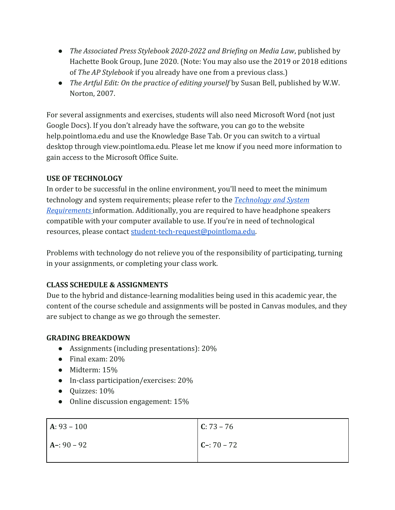- *The Associated Press Stylebook 2020-2022 and Briefing on Media Law*, published by Hachette Book Group, June 2020. (Note: You may also use the 2019 or 2018 editions of *The AP Stylebook* if you already have one from a previous class.)
- *● The Artful Edit: On the practice of editing yourself* by Susan Bell, published by W.W. Norton, 2007.

For several assignments and exercises, students will also need Microsoft Word (not just Google Docs). If you don't already have the software, you can go to the website help.pointloma.edu and use the Knowledge Base Tab. Or you can switch to a virtual desktop through view.pointloma.edu. Please let me know if you need more information to gain access to the Microsoft Office Suite.

### **USE OF TECHNOLOGY**

In order to be successful in the online environment, you'll need to meet the minimum technology and system requirements; please refer to the *[Technology and System](https://help.pointloma.edu/TDClient/1808/Portal/KB/ArticleDet?ID=108349) [Requirements](https://help.pointloma.edu/TDClient/1808/Portal/KB/ArticleDet?ID=108349)* information. Additionally, you are required to have headphone speakers compatible with your computer available to use. If you're in need of technological resources, please contact [student-tech-request@pointloma.edu.](mailto:student-tech-request@pointloma.edu)

Problems with technology do not relieve you of the responsibility of participating, turning in your assignments, or completing your class work.

# **CLASS SCHEDULE & ASSIGNMENTS**

Due to the hybrid and distance-learning modalities being used in this academic year, the content of the course schedule and assignments will be posted in Canvas modules, and they are subject to change as we go through the semester.

# **GRADING BREAKDOWN**

- Assignments (including presentations): 20%
- Final exam: 20%
- Midterm: 15%
- In-class participation/exercises: 20%
- Quizzes: 10%
- Online discussion engagement: 15%

| $A: 93 - 100$ | $C: 73 - 76$  |
|---------------|---------------|
| $A - 90 - 92$ | $C - 70 - 72$ |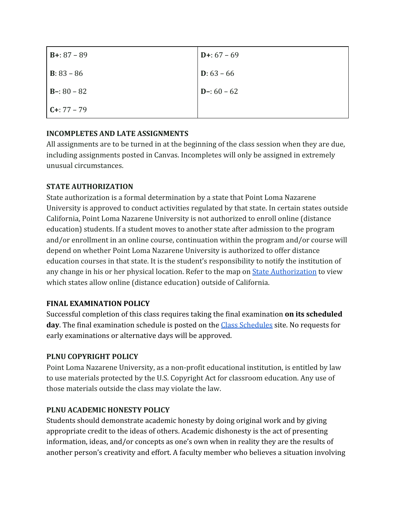| $B+: 87 - 89$        | $D + 67 - 69$        |
|----------------------|----------------------|
| <b>B</b> : $83 - 86$ | <b>D</b> : $63 - 66$ |
| $B - 80 - 82$        | $D-: 60 - 62$        |
| $C + 77 - 79$        |                      |

### **INCOMPLETES AND LATE ASSIGNMENTS**

All assignments are to be turned in at the beginning of the class session when they are due, including assignments posted in Canvas. Incompletes will only be assigned in extremely unusual circumstances.

### **STATE AUTHORIZATION**

State authorization is a formal determination by a state that Point Loma Nazarene University is approved to conduct activities regulated by that state. In certain states outside California, Point Loma Nazarene University is not authorized to enroll online (distance education) students. If a student moves to another state after admission to the program and/or enrollment in an online course, continuation within the program and/or course will depend on whether Point Loma Nazarene University is authorized to offer distance education courses in that state. It is the student's responsibility to notify the institution of any change in his or her physical location. Refer to the map on **[State Authorization](https://www.pointloma.edu/offices/office-institutional-effectiveness-research/disclosures)** to view which states allow online (distance education) outside of California.

### **FINAL EXAMINATION POLICY**

Successful completion of this class requires taking the final examination **on its scheduled** day. The final examination schedule is posted on the **Class Schedules** site. No requests for early examinations or alternative days will be approved.

### **PLNU COPYRIGHT POLICY**

Point Loma Nazarene University, as a non-profit educational institution, is entitled by law to use materials protected by the U.S. Copyright Act for classroom education. Any use of those materials outside the class may violate the law.

# **PLNU ACADEMIC HONESTY POLICY**

Students should demonstrate academic honesty by doing original work and by giving appropriate credit to the ideas of others. Academic dishonesty is the act of presenting information, ideas, and/or concepts as one's own when in reality they are the results of another person's creativity and effort. A faculty member who believes a situation involving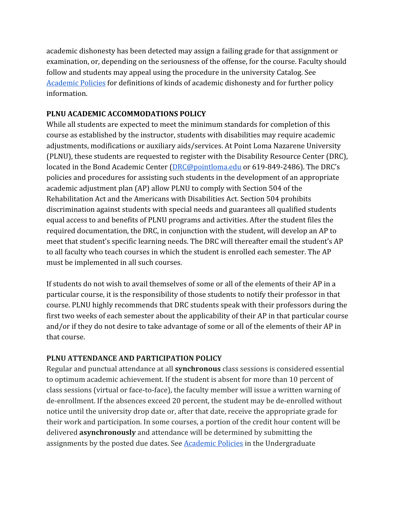academic dishonesty has been detected may assign a failing grade for that assignment or examination, or, depending on the seriousness of the offense, for the course. Faculty should follow and students may appeal using the procedure in the university Catalog. See [Academic Policies](http://catalog.pointloma.edu/content.php?catoid=18&navoid=1278) for definitions of kinds of academic dishonesty and for further policy information.

### **PLNU ACADEMIC ACCOMMODATIONS POLICY**

While all students are expected to meet the minimum standards for completion of this course as established by the instructor, students with disabilities may require academic adjustments, modifications or auxiliary aids/services. At Point Loma Nazarene University (PLNU), these students are requested to register with the Disability Resource Center (DRC), located in the Bond Academic Center [\(DRC@pointloma.edu](mailto:DRC@pointloma.edu) or 619-849-2486). The DRC's policies and procedures for assisting such students in the development of an appropriate academic adjustment plan (AP) allow PLNU to comply with Section 504 of the Rehabilitation Act and the Americans with Disabilities Act. Section 504 prohibits discrimination against students with special needs and guarantees all qualified students equal access to and benefits of PLNU programs and activities. After the student files the required documentation, the DRC, in conjunction with the student, will develop an AP to meet that student's specific learning needs. The DRC will thereafter email the student's AP to all faculty who teach courses in which the student is enrolled each semester. The AP must be implemented in all such courses.

If students do not wish to avail themselves of some or all of the elements of their AP in a particular course, it is the responsibility of those students to notify their professor in that course. PLNU highly recommends that DRC students speak with their professors during the first two weeks of each semester about the applicability of their AP in that particular course and/or if they do not desire to take advantage of some or all of the elements of their AP in that course.

### **PLNU ATTENDANCE AND PARTICIPATION POLICY**

Regular and punctual attendance at all **synchronous** class sessions is considered essential to optimum academic achievement. If the student is absent for more than 10 percent of class sessions (virtual or face-to-face), the faculty member will issue a written warning of de-enrollment. If the absences exceed 20 percent, the student may be de-enrolled without notice until the university drop date or, after that date, receive the appropriate grade for their work and participation. In some courses, a portion of the credit hour content will be delivered **asynchronously** and attendance will be determined by submitting the assignments by the posted due dates. See [Academic Policies](https://catalog.pointloma.edu/content.php?catoid=46&navoid=2650#Class_Attendance) in the Undergraduate